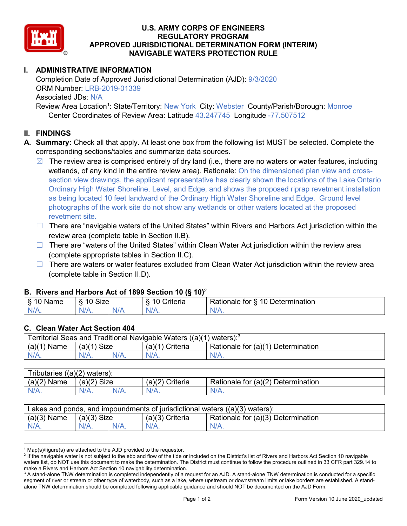

## **U.S. ARMY CORPS OF ENGINEERS REGULATORY PROGRAM APPROVED JURISDICTIONAL DETERMINATION FORM (INTERIM) NAVIGABLE WATERS PROTECTION RULE**

# **I. ADMINISTRATIVE INFORMATION**

Completion Date of Approved Jurisdictional Determination (AJD): 9/3/2020 ORM Number: LRB-2019-01339 Associated JDs: N/A Review Area Location<sup>1</sup>: State/Territory: New York City: Webster County/Parish/Borough: Monroe Center Coordinates of Review Area: Latitude 43.247745 Longitude -77.507512

### **II. FINDINGS**

- **A. Summary:** Check all that apply. At least one box from the following list MUST be selected. Complete the corresponding sections/tables and summarize data sources.
	- $\boxtimes$  The review area is comprised entirely of dry land (i.e., there are no waters or water features, including wetlands, of any kind in the entire review area). Rationale: On the dimensioned plan view and crosssection view drawings, the applicant representative has clearly shown the locations of the Lake Ontario Ordinary High Water Shoreline, Level, and Edge, and shows the proposed riprap revetment installation as being located 10 feet landward of the Ordinary High Water Shoreline and Edge. Ground level photographs of the work site do not show any wetlands or other waters located at the proposed revetment site.
	- □ There are "navigable waters of the United States" within Rivers and Harbors Act jurisdiction within the review area (complete table in Section II.B).
	- ☐ There are "waters of the United States" within Clean Water Act jurisdiction within the review area (complete appropriate tables in Section II.C).
	- $\Box$  There are waters or water features excluded from Clean Water Act jurisdiction within the review area (complete table in Section II.D).

#### **B. Rivers and Harbors Act of 1899 Section 10 (§ 10)**<sup>2</sup>

| $\cdot$       |                              |   |                      |                                                          |  |
|---------------|------------------------------|---|----------------------|----------------------------------------------------------|--|
| Name<br>- 12  | $\sim$<br>$\sim$<br><br>SIZE |   | `riteria             | -<br>10<br>-<br>termination<br>tor<br>'ationale<br>Jeter |  |
| N<br>$\cdots$ | N/L<br>$\mathbf{v}$          | . | N/r<br><b>MILLER</b> | $\cdots$                                                 |  |

#### **C. Clean Water Act Section 404**

| Territorial Seas and Traditional Navigable Waters ((a)(1) waters): $3$ |               |         |                   |                                    |  |
|------------------------------------------------------------------------|---------------|---------|-------------------|------------------------------------|--|
| $(a)(1)$ Name                                                          | $(a)(1)$ Size |         | $(a)(1)$ Criteria | Rationale for (a)(1) Determination |  |
| $N/A$ .                                                                |               | $N/A$ . | $N/A$ .           | $N/A$ .                            |  |

| Tributaries $((a)(2)$ waters): |               |         |                 |                                    |  |  |
|--------------------------------|---------------|---------|-----------------|------------------------------------|--|--|
| $(a)(2)$ Name                  | $(a)(2)$ Size |         | (a)(2) Criteria | Rationale for (a)(2) Determination |  |  |
| $N/A$ .                        |               | $N/A$ . |                 | $N/A$ .                            |  |  |

| Lakes and ponds, and impoundments of jurisdictional waters $((a)(3)$ waters): |               |         |                 |                                    |  |
|-------------------------------------------------------------------------------|---------------|---------|-----------------|------------------------------------|--|
| $(a)(3)$ Name                                                                 | $(a)(3)$ Size |         | (a)(3) Criteria | Rationale for (a)(3) Determination |  |
| $N/A$ .                                                                       | $N/A$ .       | $N/A$ . | $N/A$ .         | $N/A$ .                            |  |

 $1$  Map(s)/figure(s) are attached to the AJD provided to the requestor.

<sup>&</sup>lt;sup>2</sup> If the navigable water is not subject to the ebb and flow of the tide or included on the District's list of Rivers and Harbors Act Section 10 navigable waters list, do NOT use this document to make the determination. The District must continue to follow the procedure outlined in 33 CFR part 329.14 to make a Rivers and Harbors Act Section 10 navigability determination.

<sup>&</sup>lt;sup>3</sup> A stand-alone TNW determination is completed independently of a request for an AJD. A stand-alone TNW determination is conducted for a specific segment of river or stream or other type of waterbody, such as a lake, where upstream or downstream limits or lake borders are established. A standalone TNW determination should be completed following applicable guidance and should NOT be documented on the AJD Form.